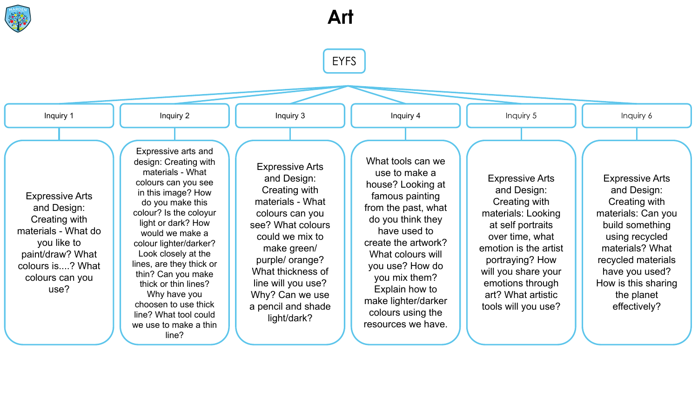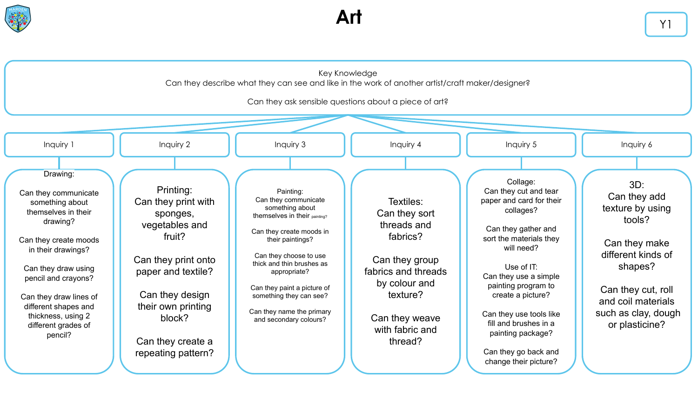

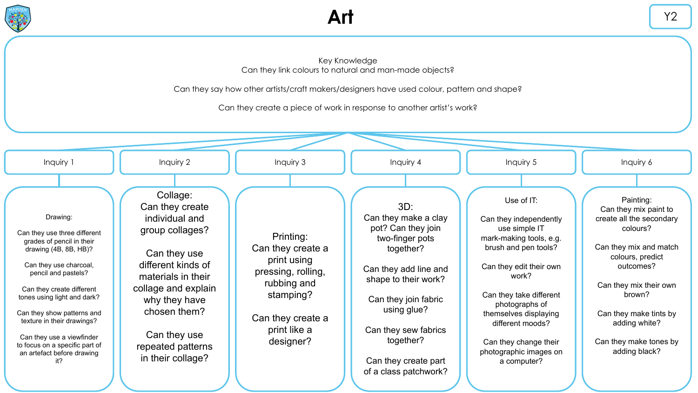

## Key Knowledge Can they link colours to natural and man-made objects?

Can they say how other artists/craft makers/designers have used colour, pattern and shape?

Can they create a piece of work in response to another artist's work?

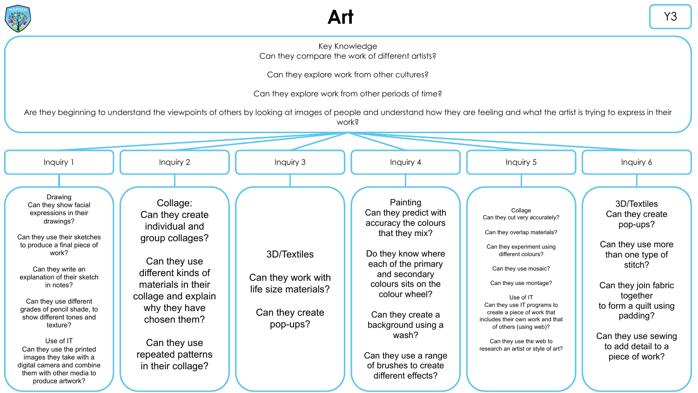

## Key Knowledge Can they compare the work of different artists?

Can they explore work from other cultures?

Can they explore work from other periods of time?

Are they beginning to understand the viewpoints of others by looking at images of people and understand how they are feeling and what the artist is trying to express in their work?

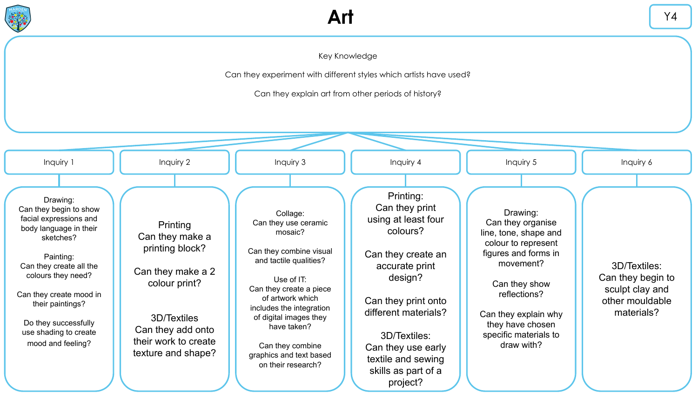

Can they experiment with different styles which artists have used?

Can they explain art from other periods of history?

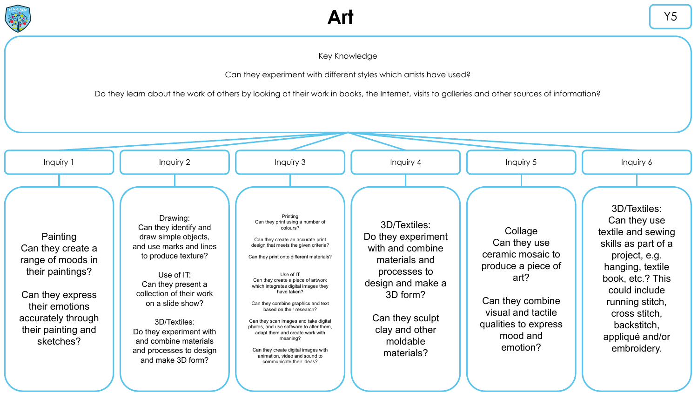

## Key Knowledge

Can they experiment with different styles which artists have used?

Do they learn about the work of others by looking at their work in books, the Internet, visits to galleries and other sources of information?